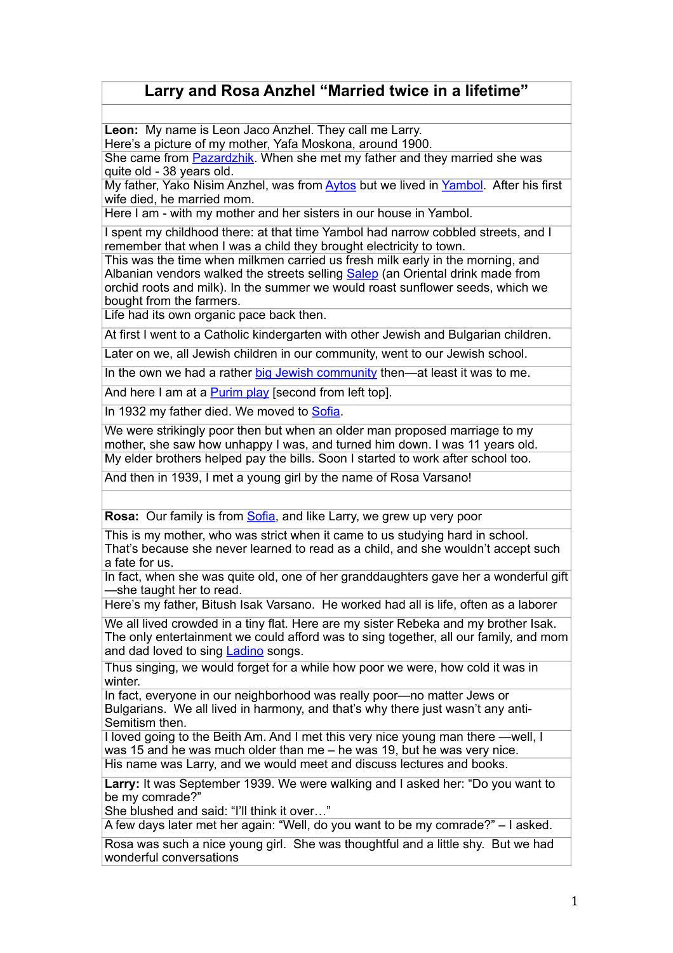## **Larry and Rosa Anzhel "Married twice in a lifetime"**

**Leon:** My name is Leon Jaco Anzhel. They call me Larry.

Here's a picture of my mother, Yafa Moskona, around 1900.

She came from [Pazardzhik.](https://maps.google.com/maps?client=safari&q=Pazardzhik&oe=UTF-8&ie=UTF-8&hl=de) When she met my father and they married she was quite old - 38 years old.

My father, Yako Nisim Anzhel, was from [Aytos](https://maps.google.com/maps?client=safari&q=aytos&oe=UTF-8&ie=UTF-8&hl=de) but we lived in [Yambol](https://maps.google.com/maps?client=safari&q=Yambol&oe=UTF-8&ie=UTF-8&hl=de). After his first wife died, he married mom.

Here I am - with my mother and her sisters in our house in Yambol.

I spent my childhood there: at that time Yambol had narrow cobbled streets, and I remember that when I was a child they brought electricity to town.

This was the time when milkmen carried us fresh milk early in the morning, and Albanian vendors walked the streets selling [Salep](http://www.turkishcookbook.com/2007/01/salep.php) (an Oriental drink made from orchid roots and milk). In the summer we would roast sunflower seeds, which we bought from the farmers.

Life had its own organic pace back then.

At first I went to a Catholic kindergarten with other Jewish and Bulgarian children.

Later on we, all Jewish children in our community, went to our Jewish school.

In the own we had a rather [big Jewish community](http://www.geschichteinchronologie.ch/eu/bulg/EncJud_juden-in-Bulgarien-ENGL.html) then—at least it was to me.

And here I am at a [Purim play](http://www.britannica.com/EBchecked/topic/483999/Purim) [second from left top].

In 1932 my father died. We moved to [Sofia.](http://www.sephardicstudies.org/sofia.html)

We were strikingly poor then but when an older man proposed marriage to my mother, she saw how unhappy I was, and turned him down. I was 11 years old. My elder brothers helped pay the bills. Soon I started to work after school too.

And then in 1939, I met a young girl by the name of Rosa Varsano!

**Rosa:** Our family is from [Sofia](http://www.sephardicstudies.org/sofia.html), and like Larry, we grew up very poor

This is my mother, who was strict when it came to us studying hard in school. That's because she never learned to read as a child, and she wouldn't accept such a fate for us.

In fact, when she was quite old, one of her granddaughters gave her a wonderful gift —she taught her to read.

Here's my father, Bitush Isak Varsano. He worked had all is life, often as a laborer

We all lived crowded in a tiny flat. Here are my sister Rebeka and my brother Isak. The only entertainment we could afford was to sing together, all our family, and mom and dad loved to sing [Ladino](http://www.sephardicstudies.org/quickladino.html) songs.

Thus singing, we would forget for a while how poor we were, how cold it was in winter.

In fact, everyone in our neighborhood was really poor—no matter Jews or Bulgarians. We all lived in harmony, and that's why there just wasn't any anti-Semitism then.

I loved going to the Beith Am. And I met this very nice young man there —well, I was 15 and he was much older than me – he was 19, but he was very nice. His name was Larry, and we would meet and discuss lectures and books.

**Larry:** It was September 1939. We were walking and I asked her: "Do you want to be my comrade?"

She blushed and said: "I'll think it over…"

A few days later met her again: "Well, do you want to be my comrade?" – I asked.

Rosa was such a nice young girl. She was thoughtful and a little shy. But we had wonderful conversations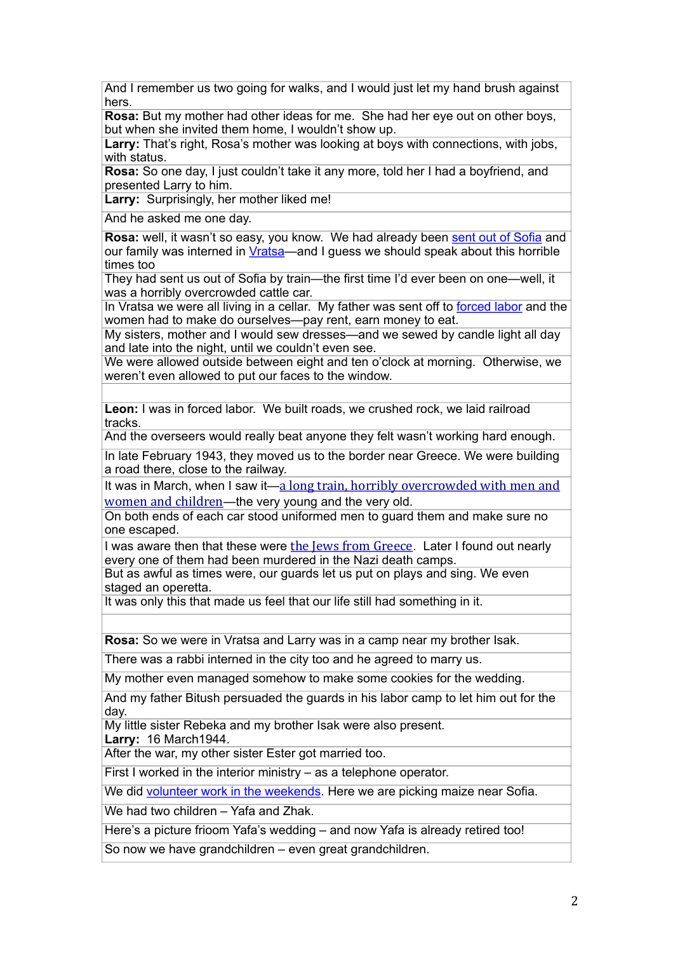And I remember us two going for walks, and I would just let my hand brush against hers.

**Rosa:** But my mother had other ideas for me. She had her eye out on other boys, but when she invited them home, I wouldn't show up.

Larry: That's right, Rosa's mother was looking at boys with connections, with jobs, with status.

**Rosa:** So one day, I just couldn't take it any more, told her I had a boyfriend, and presented Larry to him.

**Larry:** Surprisingly, her mother liked me!

And he asked me one day.

**Rosa:** well, it wasn't so easy, you know. We had already been sent out of Sofia and our family was interned in Vratsa—and I guess we should speak about this horrible times too

They had sent us out of Sofia by train—the first time I'd ever been on one—well, it was a horribly overcrowded cattle car.

In Vratsa we were all living in a cellar. My father was sent off to forced labor and the women had to make do ourselves—pay rent, earn money to eat.

My sisters, mother and I would sew dresses—and we sewed by candle light all day and late into the night, until we couldn't even see.

We were allowed outside between eight and ten o'clock at morning. Otherwise, we weren't even allowed to put our faces to the window.

**Leon:** I was in forced labor. We built roads, we crushed rock, we laid railroad tracks.

And the overseers would really beat anyone they felt wasn't working hard enough.

In late February 1943, they moved us to the border near Greece. We were building a road there, close to the railway.

It was in March, when I saw it—a long train, horribly overcrowded with men and women and children—the very young and the very old.

On both ends of each car stood uniformed men to guard them and make sure no one escaped.

I was aware then that these were the Jews from Greece. Later I found out nearly every one of them had been murdered in the Nazi death camps.

But as awful as times were, our guards let us put on plays and sing. We even staged an operetta.

It was only this that made us feel that our life still had something in it.

**Rosa:** So we were in Vratsa and Larry was in a camp near my brother Isak.

There was a rabbi interned in the city too and he agreed to marry us.

My mother even managed somehow to make some cookies for the wedding.

And my father Bitush persuaded the guards in his labor camp to let him out for the day.

My little sister Rebeka and my brother Isak were also present. **Larry:** 16 March1944.

After the war, my other sister Ester got married too.

First I worked in the interior ministry – as a telephone operator.

We did volunteer work in the weekends. Here we are picking maize near Sofia.

We had two children – Yafa and Zhak.

Here's a picture frioom Yafa's wedding – and now Yafa is already retired too!

So now we have grandchildren – even great grandchildren.